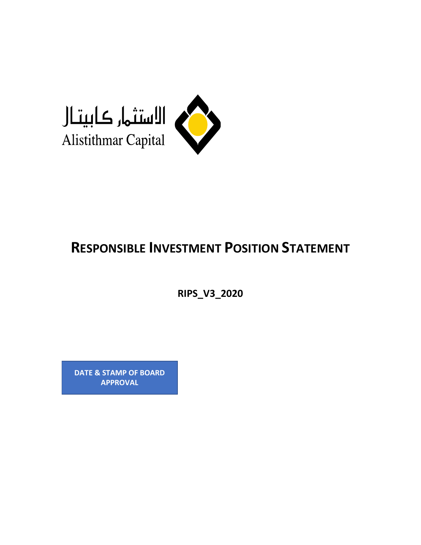

# **RESPONSIBLE INVESTMENT POSITION STATEMENT**

**RIPS\_V3\_2020**

**DATE & STAMP OF BOARD APPROVAL**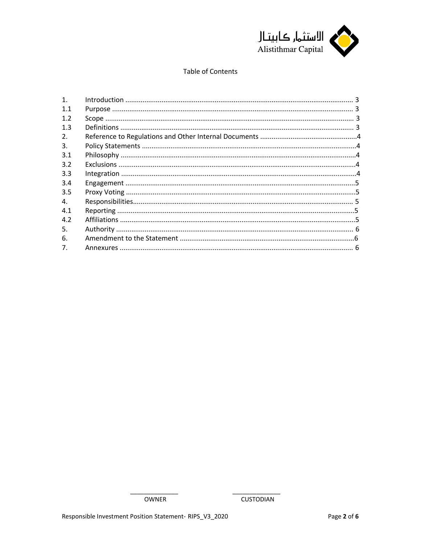

### Table of Contents

| 1.             |  |
|----------------|--|
| 1.1            |  |
| 1.2            |  |
| 1.3            |  |
| 2.             |  |
| 3.             |  |
| 3.1            |  |
| 3.2            |  |
| 3.3            |  |
| 3.4            |  |
| 3.5            |  |
| 4.             |  |
| 4.1            |  |
| 4.2            |  |
| 5.             |  |
| 6.             |  |
| 7 <sub>1</sub> |  |
|                |  |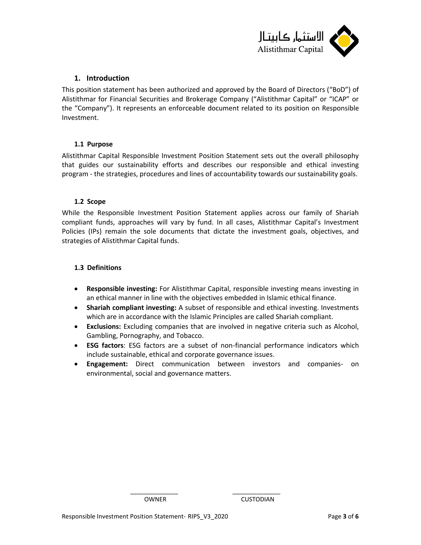

## <span id="page-2-0"></span>**1. Introduction**

This position statement has been authorized and approved by the Board of Directors ("BoD") of Alistithmar for Financial Securities and Brokerage Company ("Alistithmar Capital" or "ICAP" or the "Company"). It represents an enforceable document related to its position on Responsible Investment.

### <span id="page-2-1"></span>**1.1 Purpose**

Alistithmar Capital Responsible Investment Position Statement sets out the overall philosophy that guides our sustainability efforts and describes our responsible and ethical investing program - the strategies, procedures and lines of accountability towards our sustainability goals.

#### <span id="page-2-2"></span>**1.2 Scope**

While the Responsible Investment Position Statement applies across our family of Shariah compliant funds, approaches will vary by fund. In all cases, Alistithmar Capital's Investment Policies (IPs) remain the sole documents that dictate the investment goals, objectives, and strategies of Alistithmar Capital funds.

#### <span id="page-2-3"></span>**1.3 Definitions**

- **Responsible investing:** For Alistithmar Capital, responsible investing means investing in an ethical manner in line with the objectives embedded in Islamic ethical finance.
- **Shariah compliant investing:** A subset of responsible and ethical investing. Investments which are in accordance with the Islamic Principles are called Shariah compliant.
- **Exclusions:** Excluding companies that are involved in negative criteria such as Alcohol, Gambling, Pornography, and Tobacco.
- **ESG factors**: ESG factors are a subset of non-financial performance indicators which include sustainable, ethical and corporate governance issues.
- **Engagement:** Direct communication between investors and companies- on environmental, social and governance matters.

\_\_\_\_\_\_\_\_\_\_\_\_\_\_ \_\_\_\_\_\_\_\_\_\_\_\_\_\_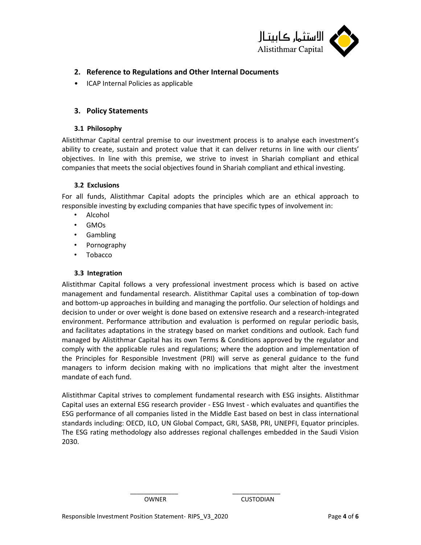

# <span id="page-3-0"></span>**2. Reference to Regulations and Other Internal Documents**

• ICAP Internal Policies as applicable

## <span id="page-3-1"></span>**3. Policy Statements**

#### <span id="page-3-2"></span>**3.1 Philosophy**

Alistithmar Capital central premise to our investment process is to analyse each investment's ability to create, sustain and protect value that it can deliver returns in line with our clients' objectives. In line with this premise, we strive to invest in Shariah compliant and ethical companies that meets the social objectives found in Shariah compliant and ethical investing.

### <span id="page-3-3"></span>**3.2 Exclusions**

For all funds, Alistithmar Capital adopts the principles which are an ethical approach to responsible investing by excluding companies that have specific types of involvement in:

- Alcohol
- GMOs
- Gambling
- Pornography
- Tobacco

### <span id="page-3-4"></span>**3.3 Integration**

Alistithmar Capital follows a very professional investment process which is based on active management and fundamental research. Alistithmar Capital uses a combination of top-down and bottom-up approaches in building and managing the portfolio. Our selection of holdings and decision to under or over weight is done based on extensive research and a research-integrated environment. Performance attribution and evaluation is performed on regular periodic basis, and facilitates adaptations in the strategy based on market conditions and outlook. Each fund managed by Alistithmar Capital has its own Terms & Conditions approved by the regulator and comply with the applicable rules and regulations; where the adoption and implementation of the Principles for Responsible Investment (PRI) will serve as general guidance to the fund managers to inform decision making with no implications that might alter the investment mandate of each fund.

Alistithmar Capital strives to complement fundamental research with ESG insights. Alistithmar Capital uses an external ESG research provider - ESG Invest - which evaluates and quantifies the ESG performance of all companies listed in the Middle East based on best in class international standards including: OECD, ILO, UN Global Compact, GRI, SASB, PRI, UNEPFI, Equator principles. The ESG rating methodology also addresses regional challenges embedded in the Saudi Vision 2030.

\_\_\_\_\_\_\_\_\_\_\_\_\_\_ \_\_\_\_\_\_\_\_\_\_\_\_\_\_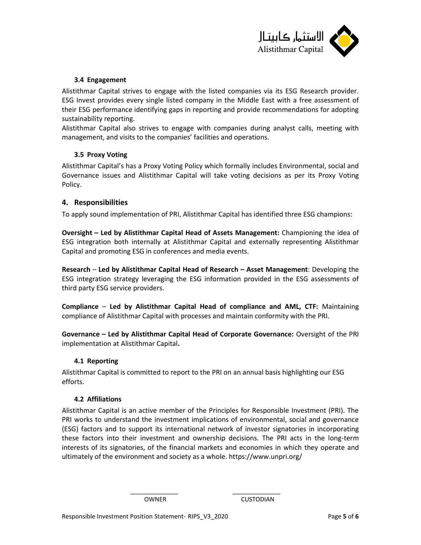

#### <span id="page-4-0"></span>**3.4 Engagement**

Alistithmar Capital strives to engage with the listed companies via its ESG Research provider. ESG Invest provides every single listed company in the Middle East with a free assessment of their ESG performance identifying gaps in reporting and provide recommendations for adopting sustainability reporting.

Alistithmar Capital also strives to engage with companies during analyst calls, meeting with management, and visits to the companies' facilities and operations.

### <span id="page-4-1"></span>**3.5 Proxy Voting**

Alistithmar Capital's has a Proxy Voting Policy which formally includes Environmental, social and Governance issues and Alistithmar Capital will take voting decisions as per its Proxy Voting Policy.

### <span id="page-4-2"></span>**4. Responsibilities**

To apply sound implementation of PRI, Alistithmar Capital has identified three ESG champions:

**Oversight – Led by Alistithmar Capital Head of Assets Management:** Championing the idea of ESG integration both internally at Alistithmar Capital and externally representing Alistithmar Capital and promoting ESG in conferences and media events.

**Research** – **Led by Alistithmar Capital Head of Research – Asset Management**: Developing the ESG integration strategy leveraging the ESG information provided in the ESG assessments of third party ESG service providers.

**Compliance** – **Led by Alistithmar Capital Head of compliance and AML, CTF:** Maintaining compliance of Alistithmar Capital with processes and maintain conformity with the PRI.

**Governance – Led by Alistithmar Capital Head of Corporate Governance:** Oversight of the PRI implementation at Alistithmar Capital**.**

#### <span id="page-4-3"></span>**4.1 Reporting**

Alistithmar Capital is committed to report to the PRI on an annual basis highlighting our ESG efforts.

#### <span id="page-4-4"></span>**4.2 Affiliations**

Alistithmar Capital is an active member of the Principles for Responsible Investment (PRI). The PRI works to understand the investment implications of environmental, social and governance (ESG) factors and to support its international network of investor signatories in incorporating these factors into their investment and ownership decisions. The PRI acts in the long-term interests of its signatories, of the financial markets and economies in which they operate and ultimately of the environment and society as a whole. https://www.unpri.org/

\_\_\_\_\_\_\_\_\_\_\_\_\_\_ \_\_\_\_\_\_\_\_\_\_\_\_\_\_

OWNER CUSTODIAN